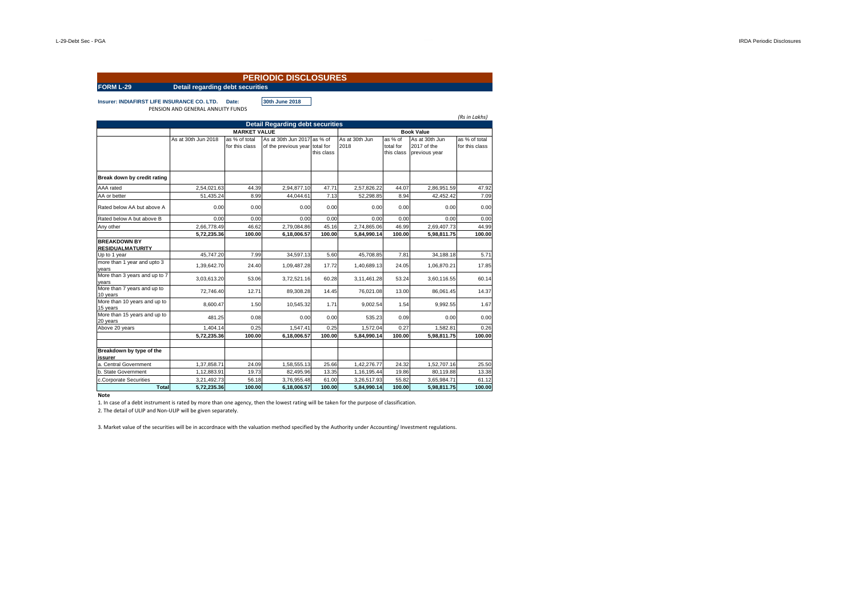|                                                    |                                         |                                 | <b>PERIODIC DISCLOSURES</b>                                   |            |                        |                                    |                                                |                                 |  |  |
|----------------------------------------------------|-----------------------------------------|---------------------------------|---------------------------------------------------------------|------------|------------------------|------------------------------------|------------------------------------------------|---------------------------------|--|--|
| FORM L-29                                          | <b>Detail regarding debt securities</b> |                                 |                                                               |            |                        |                                    |                                                |                                 |  |  |
| <b>Insurer: INDIAFIRST LIFE INSURANCE CO. LTD.</b> | PENSION AND GENERAL ANNUITY FUNDS       | Date:                           | 30th June 2018                                                |            |                        |                                    |                                                | (Rs in Lakhs)                   |  |  |
|                                                    |                                         |                                 | <b>Detail Regarding debt securities</b>                       |            |                        |                                    |                                                |                                 |  |  |
|                                                    |                                         | <b>MARKET VALUE</b>             |                                                               |            | <b>Book Value</b>      |                                    |                                                |                                 |  |  |
|                                                    | As at 30th Jun 2018                     | as % of total<br>for this class | As at 30th Jun 2017 as % of<br>of the previous year total for | this class | As at 30th Jun<br>2018 | as % of<br>total for<br>this class | As at 30th Jun<br>2017 of the<br>previous year | as % of total<br>for this class |  |  |
| Break down by credit rating                        |                                         |                                 |                                                               |            |                        |                                    |                                                |                                 |  |  |
| AAA rated                                          | 2,54,021.63                             | 44.39                           | 2,94,877.10                                                   | 47.71      | 2,57,826.22            | 44.07                              | 2,86,951.59                                    | 47.92                           |  |  |
| AA or better                                       | 51,435.24                               | 8.99                            | 44,044.61                                                     | 7.13       | 52,298.85              | 8.94                               | 42,452.42                                      | 7.09                            |  |  |
| Rated below AA but above A                         | 0.00                                    | 0.00                            | 0.00                                                          | 0.00       | 0.00                   | 0.00                               | 0.00                                           | 0.00                            |  |  |
| Rated below A but above B                          | 0.00                                    | 0.00                            | 0.00                                                          | 0.00       | 0.00                   | 0.00                               | 0.00                                           | 0.00                            |  |  |
| Any other                                          | 2,66,778.49                             | 46.62                           | 2,79,084.86                                                   | 45.16      | 2,74,865.06            | 46.99                              | 2,69,407.73                                    | 44.99                           |  |  |
|                                                    | 5,72,235.36                             | 100.00                          | 6,18,006.57                                                   | 100.00     | 5,84,990.14            | 100.00                             | 5,98,811.75                                    | 100.00                          |  |  |
| <b>BREAKDOWN BY</b><br><b>RESIDUALMATURITY</b>     |                                         |                                 |                                                               |            |                        |                                    |                                                |                                 |  |  |
| Up to 1 year                                       | 45.747.20                               | 7.99                            | 34.597.13                                                     | 5.60       | 45,708.85              | 7.81                               | 34.188.18                                      | 5.71                            |  |  |
| more than 1 year and upto 3<br>years               | 1,39,642.70                             | 24.40                           | 1,09,487.28                                                   | 17.72      | 1,40,689.13            | 24.05                              | 1,06,870.21                                    | 17.85                           |  |  |
| More than 3 years and up to 7<br>years             | 3,03,613.20                             | 53.06                           | 3,72,521.16                                                   | 60.28      | 3,11,461.28            | 53.24                              | 3,60,116.55                                    | 60.14                           |  |  |
| More than 7 years and up to<br>10 years            | 72,746.40                               | 12.71                           | 89,308.28                                                     | 14.45      | 76,021.08              | 13.00                              | 86,061.45                                      | 14.37                           |  |  |
| More than 10 years and up to<br>15 years           | 8.600.47                                | 1.50                            | 10.545.32                                                     | 1.71       | 9.002.54               | 1.54                               | 9.992.55                                       | 1.67                            |  |  |
| More than 15 years and up to<br>20 years           | 481.25                                  | 0.08                            | 0.00                                                          | 0.00       | 535.23                 | 0.09                               | 0.00                                           | 0.00                            |  |  |
| Above 20 years                                     | 1,404.14                                | 0.25                            | 1,547.41                                                      | 0.25       | 1.572.04               | 0.27                               | 1.582.81                                       | 0.26                            |  |  |
|                                                    | 5,72,235.36                             | 100.00                          | 6,18,006.57                                                   | 100.00     | 5,84,990.14            | 100.00                             | 5,98,811.75                                    | 100.00                          |  |  |
| Breakdown by type of the<br>issurer                |                                         |                                 |                                                               |            |                        |                                    |                                                |                                 |  |  |
| a. Central Government                              | 1,37,858.71                             | 24.09                           | 1,58,555.13                                                   | 25.66      | 1,42,276.77            | 24.32                              | 1,52,707.16                                    | 25.50                           |  |  |
| b. State Government                                | 1,12,883.91                             | 19.73                           | 82,495.96                                                     | 13.35      | 1,16,195.44            | 19.86                              | 80,119.88                                      | 13.38                           |  |  |
| c.Corporate Securities                             | 3,21,492.73                             | 56.18                           | 3,76,955.48                                                   | 61.00      | 3,26,517.93            | 55.82                              | 3,65,984.71                                    | 61.12                           |  |  |
| <b>Total</b>                                       | 5.72.235.36                             | 100.00                          | 6.18.006.57                                                   | 100.00     | 5.84.990.14            | 100.00                             | 5.98.811.75                                    | 100.00                          |  |  |

**Note**

1. In case of a debt instrument is rated by more than one agency, then the lowest rating will be taken for the purpose of classification.

2. The detail of ULIP and Non-ULIP will be given separately.

3. Market value of the securities will be in accordnace with the valuation method specified by the Authority under Accounting/ Investment regulations.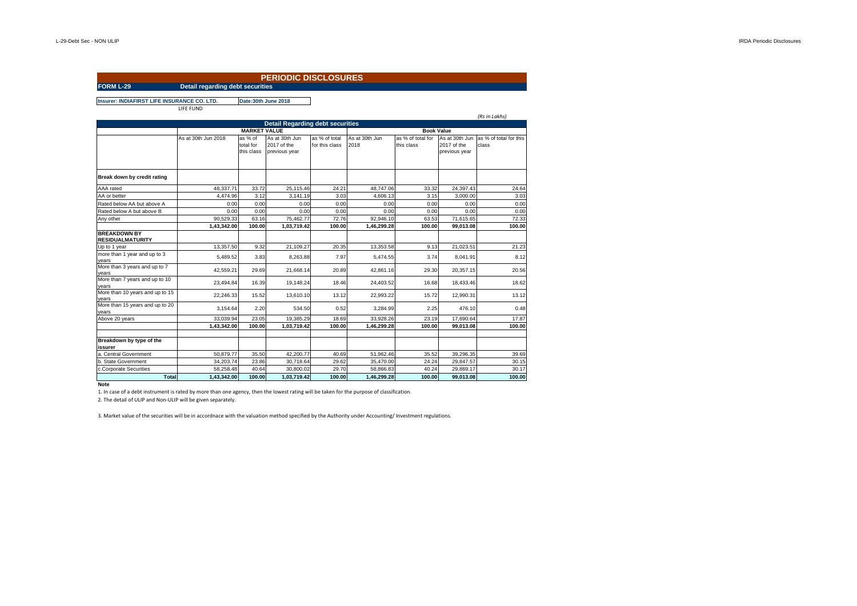## **FORM L-29 Detail regarding debt securities PERIODIC DISCLOSURES**

**Insurer: INDIAFIRST LIFE INSURANCE CO. LTD. Date:30th June 2018**

LIFE FUND

|                                                |                                          |                                    |                                                |                                 |                        |                                 |                                                | (Rs in Lakhs)                   |  |
|------------------------------------------------|------------------------------------------|------------------------------------|------------------------------------------------|---------------------------------|------------------------|---------------------------------|------------------------------------------------|---------------------------------|--|
|                                                |                                          |                                    | <b>Detail Regarding debt securities</b>        |                                 |                        |                                 |                                                |                                 |  |
|                                                | <b>MARKET VALUE</b><br><b>Book Value</b> |                                    |                                                |                                 |                        |                                 |                                                |                                 |  |
|                                                | As at 30th Jun 2018                      | as % of<br>total for<br>this class | As at 30th Jun<br>2017 of the<br>previous year | as % of total<br>for this class | As at 30th Jun<br>2018 | as % of total for<br>this class | As at 30th Jun<br>2017 of the<br>previous year | as % of total for this<br>class |  |
| Break down by credit rating                    |                                          |                                    |                                                |                                 |                        |                                 |                                                |                                 |  |
| AAA rated                                      | 48,337.71                                | 33.72                              | 25,115.46                                      | 24.21                           | 48,747.06              | 33.32                           | 24.397.43                                      | 24.64                           |  |
| AA or better                                   | 4,474.96                                 | 3.12                               | 3,141.19                                       | 3.03                            | 4,606.13               | 3.15                            | 3,000.00                                       | 3.03                            |  |
| Rated below AA but above A                     | 0.00                                     | 0.00                               | 0.00                                           | 0.00                            | 0.00                   | 0.00                            | 0.00                                           | 0.00                            |  |
| Rated below A but above B                      | 0.00                                     | 0.00                               | 0.00                                           | 0.00                            | 0.00                   | 0.00                            | 0.00                                           | 0.00                            |  |
| Any other                                      | 90,529.33                                | 63.16                              | 75,462.77                                      | 72.76                           | 92,946.10              | 63.53                           | 71,615.65                                      | 72.33                           |  |
|                                                | 1,43,342.00                              | 100.00                             | 1,03,719.42                                    | 100.00                          | 1,46,299.28            | 100.00                          | 99,013.08                                      | 100.00                          |  |
| <b>BREAKDOWN BY</b><br><b>RESIDUALMATURITY</b> |                                          |                                    |                                                |                                 |                        |                                 |                                                |                                 |  |
| Up to 1 year                                   | 13,357.50                                | 9.32                               | 21,109.27                                      | 20.35                           | 13.353.58              | 9.13                            | 21,023.51                                      | 21.23                           |  |
| more than 1 year and up to 3<br>vears          | 5,489.52                                 | 3.83                               | 8,263.88                                       | 7.97                            | 5,474.55               | 3.74                            | 8,041.91                                       | 8.12                            |  |
| More than 3 years and up to 7<br>vears         | 42.559.21                                | 29.69                              | 21.668.14                                      | 20.89                           | 42.861.16              | 29.30                           | 20.357.15                                      | 20.56                           |  |
| More than 7 years and up to 10<br>vears        | 23.494.84                                | 16.39                              | 19.148.24                                      | 18.46                           | 24,403.52              | 16.68                           | 18,433.46                                      | 18.62                           |  |
| More than 10 years and up to 15<br>vears       | 22.246.33                                | 15.52                              | 13.610.10                                      | 13.12                           | 22.993.22              | 15.72                           | 12.990.31                                      | 13.12                           |  |
| More than 15 years and up to 20<br>years       | 3.154.64                                 | 2.20                               | 534.50                                         | 0.52                            | 3.284.99               | 2.25                            | 476.10                                         | 0.48                            |  |
| Above 20 years                                 | 33.039.94                                | 23.05                              | 19.385.29                                      | 18.69                           | 33.928.26              | 23.19                           | 17.690.64                                      | 17.87                           |  |
|                                                | 1.43.342.00                              | 100.00                             | 1,03,719.42                                    | 100.00                          | 1,46,299.28            | 100.00                          | 99.013.08                                      | 100.00                          |  |
| Breakdown by type of the<br>issurer            |                                          |                                    |                                                |                                 |                        |                                 |                                                |                                 |  |
| a. Central Government                          | 50,879.77                                | 35.50                              | 42,200.77                                      | 40.69                           | 51,962.46              | 35.52                           | 39.296.35                                      | 39.69                           |  |
| b. State Government                            | 34.203.74                                | 23.86                              | 30.718.64                                      | 29.62                           | 35,470.00              | 24.24                           | 29.847.57                                      | 30.15                           |  |
| c.Corporate Securities                         | 58,258.48                                | 40.64                              | 30,800.02                                      | 29.70                           | 58.866.83              | 40.24                           | 29.869.17                                      | 30.17                           |  |
| <b>Total</b>                                   | 1.43.342.00                              | 100.00                             | 1,03,719.42                                    | 100.00                          | 1.46.299.28            | 100.00                          | 99.013.08                                      | 100.00                          |  |

**Note**

1. In case of a debt instrument is rated by more than one agency, then the lowest rating will be taken for the purpose of classification. 2. The detail of ULIP and Non-ULIP will be given separately.

3. Market value of the securities will be in accordnace with the valuation method specified by the Authority under Accounting/ Investment regulations.